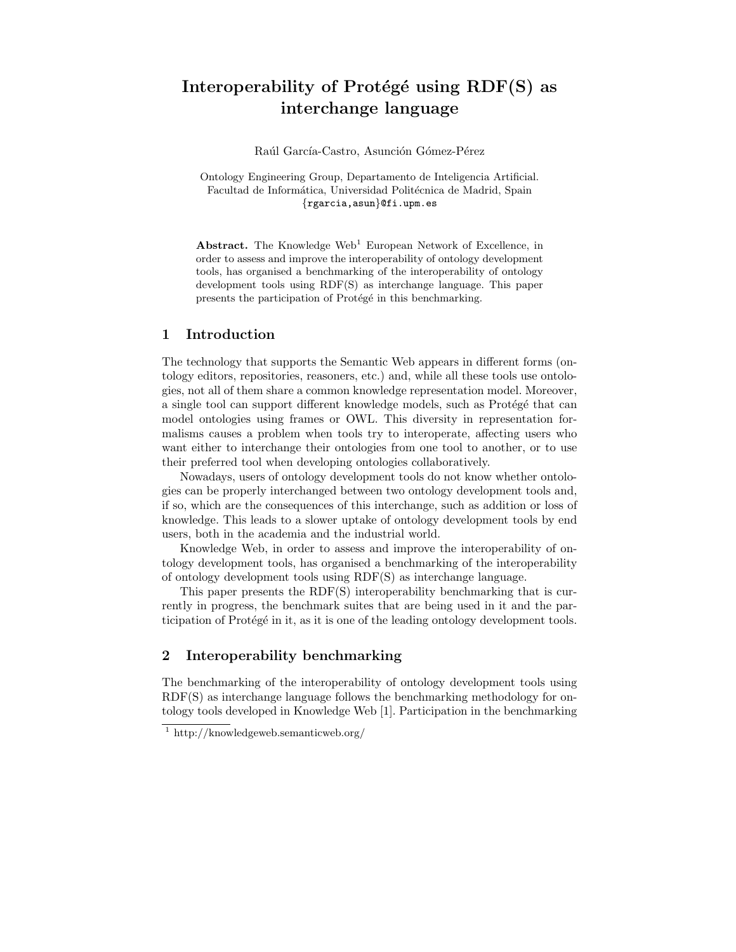# Interoperability of Protégé using  $RDF(S)$  as interchange language

Raúl García-Castro, Asunción Gómez-Pérez

Ontology Engineering Group, Departamento de Inteligencia Artificial. Facultad de Informática, Universidad Politécnica de Madrid, Spain {rgarcia,asun}@fi.upm.es

Abstract. The Knowledge Web<sup>1</sup> European Network of Excellence, in order to assess and improve the interoperability of ontology development tools, has organised a benchmarking of the interoperability of ontology development tools using RDF(S) as interchange language. This paper presents the participation of Protégé in this benchmarking.

## 1 Introduction

The technology that supports the Semantic Web appears in different forms (ontology editors, repositories, reasoners, etc.) and, while all these tools use ontologies, not all of them share a common knowledge representation model. Moreover, a single tool can support different knowledge models, such as Protégé that can model ontologies using frames or OWL. This diversity in representation formalisms causes a problem when tools try to interoperate, affecting users who want either to interchange their ontologies from one tool to another, or to use their preferred tool when developing ontologies collaboratively.

Nowadays, users of ontology development tools do not know whether ontologies can be properly interchanged between two ontology development tools and, if so, which are the consequences of this interchange, such as addition or loss of knowledge. This leads to a slower uptake of ontology development tools by end users, both in the academia and the industrial world.

Knowledge Web, in order to assess and improve the interoperability of ontology development tools, has organised a benchmarking of the interoperability of ontology development tools using RDF(S) as interchange language.

This paper presents the RDF(S) interoperability benchmarking that is currently in progress, the benchmark suites that are being used in it and the participation of Protégé in it, as it is one of the leading ontology development tools.

## 2 Interoperability benchmarking

The benchmarking of the interoperability of ontology development tools using RDF(S) as interchange language follows the benchmarking methodology for ontology tools developed in Knowledge Web [1]. Participation in the benchmarking

<sup>1</sup> http://knowledgeweb.semanticweb.org/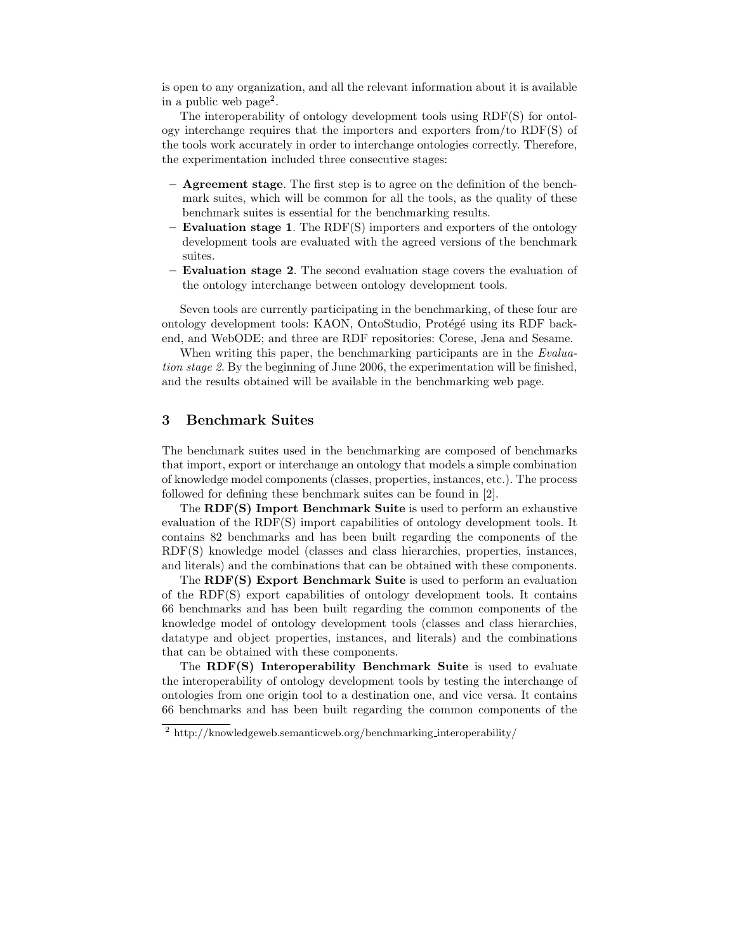is open to any organization, and all the relevant information about it is available in a public web page<sup>2</sup> .

The interoperability of ontology development tools using RDF(S) for ontology interchange requires that the importers and exporters from/to RDF(S) of the tools work accurately in order to interchange ontologies correctly. Therefore, the experimentation included three consecutive stages:

- Agreement stage. The first step is to agree on the definition of the benchmark suites, which will be common for all the tools, as the quality of these benchmark suites is essential for the benchmarking results.
- Evaluation stage 1. The  $RDF(S)$  importers and exporters of the ontology development tools are evaluated with the agreed versions of the benchmark suites.
- Evaluation stage 2. The second evaluation stage covers the evaluation of the ontology interchange between ontology development tools.

Seven tools are currently participating in the benchmarking, of these four are ontology development tools: KAON, OntoStudio, Protégé using its RDF backend, and WebODE; and three are RDF repositories: Corese, Jena and Sesame.

When writing this paper, the benchmarking participants are in the Evaluation stage 2. By the beginning of June 2006, the experimentation will be finished, and the results obtained will be available in the benchmarking web page.

# 3 Benchmark Suites

The benchmark suites used in the benchmarking are composed of benchmarks that import, export or interchange an ontology that models a simple combination of knowledge model components (classes, properties, instances, etc.). The process followed for defining these benchmark suites can be found in [2].

The RDF(S) Import Benchmark Suite is used to perform an exhaustive evaluation of the RDF(S) import capabilities of ontology development tools. It contains 82 benchmarks and has been built regarding the components of the RDF(S) knowledge model (classes and class hierarchies, properties, instances, and literals) and the combinations that can be obtained with these components.

The RDF(S) Export Benchmark Suite is used to perform an evaluation of the RDF(S) export capabilities of ontology development tools. It contains 66 benchmarks and has been built regarding the common components of the knowledge model of ontology development tools (classes and class hierarchies, datatype and object properties, instances, and literals) and the combinations that can be obtained with these components.

The RDF(S) Interoperability Benchmark Suite is used to evaluate the interoperability of ontology development tools by testing the interchange of ontologies from one origin tool to a destination one, and vice versa. It contains 66 benchmarks and has been built regarding the common components of the

<sup>2</sup> http://knowledgeweb.semanticweb.org/benchmarking interoperability/